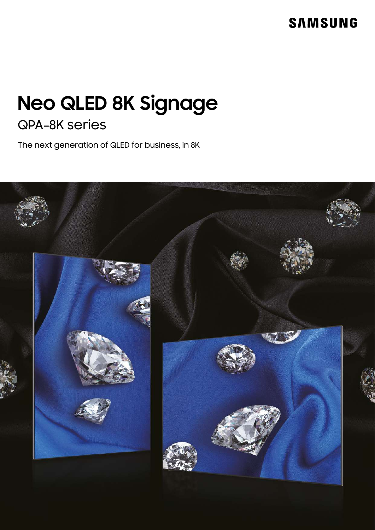# **SAMSUNG**

# **Neo QLED 8K Signage** QPA-8K series

The next generation of QLED for business, in 8K

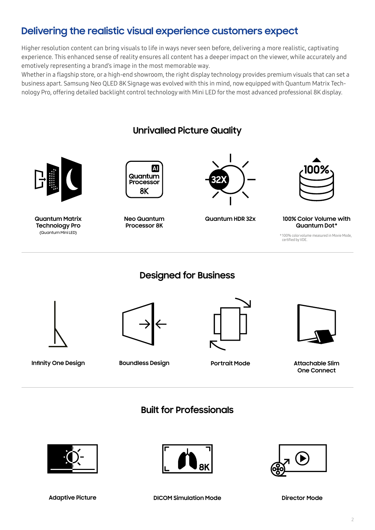## **Delivering the realistic visual experience customers expect**

Higher resolution content can bring visuals to life in ways never seen before, delivering a more realistic, captivating experience. This enhanced sense of reality ensures all content has a deeper impact on the viewer, while accurately and emotively representing a brand's image in the most memorable way.

Whether in a flagship store, or a high-end showroom, the right display technology provides premium visuals that can set a business apart. Samsung Neo QLED 8K Signage was evolved with this in mind, now equipped with Quantum Matrix Technology Pro, offering detailed backlight control technology with Mini LED for the most advanced professional 8K display.



**Portrait Mode**

**One Connect**

**Built for Professionals**





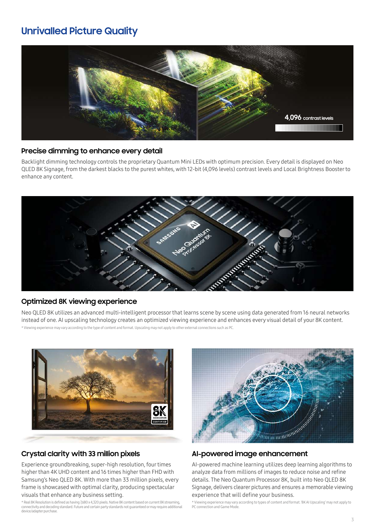### **Unrivalled Picture Quality**



#### **Precise dimming to enhance every detail**

Backlight dimming technology controls the proprietary Quantum Mini LEDs with optimum precision. Every detail is displayed on Neo QLED 8K Signage, from the darkest blacks to the purest whites, with 12-bit (4,096 levels) contrast levels and Local Brightness Booster to enhance any content.



#### **Optimized 8K viewing experience**

Neo QLED 8K utilizes an advanced multi-intelligent processor that learns scene by scene using data generated from 16 neural networks instead of one. AI upscaling technology creates an optimized viewing experience and enhances every visual detail of your 8K content. \* Viewing experience may vary according to the type of content and format. Upscaling may not apply to other external connections such as PC.



#### **Crystal clarity with 33 million pixels**

Experience groundbreaking, super-high resolution, four times higher than 4K UHD content and 16 times higher than FHD with Samsung's Neo QLED 8K. With more than 33 million pixels, every frame is showcased with optimal clarity, producing spectacular visuals that enhance any business setting.

\* Real 8K Resolution is defined as having 7,680 x 4,320 pixels. Native 8K content based on current 8K streaming,<br>connectivity and decoding standard. Future and certain party standards not guaranteed or may require addition device/adapter purchase.



#### **AI-powered image enhancement**

AI-powered machine learning utilizes deep learning algorithms to analyze data from millions of images to reduce noise and refine details. The Neo Quantum Processor 8K, built into Neo QLED 8K Signage, delivers clearer pictures and ensures a memorable viewing experience that will define your business.

\* Viewing experience may vary according to types of content and format. '8K AI Upscaling' may not apply to PC connection and Game Mode.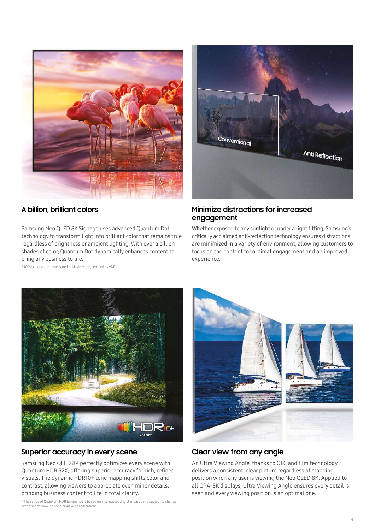

#### **A billion, brilliant colors**

Samsung Neo QLED 8K Signage uses advanced Quantum Dot technology to transform light into brilliant color that remains true regardless of brightness or ambient lighting. With over a billion shades of color, Quantum Dot dynamically enhances content to bring any business to life.

\* 100% color volume measured in Movie Mode, certified by VDE.



#### **Minimize distractions for increased engagement**

Whether exposed to any sunlight or under a light fitting, Samsung's critically acclaimed anti-reflection technology ensures distractions are minimized in a variety of environment, allowing customers to focus on the content for optimal engagement and an improved experience.



#### **Superior accuracy in every scene**

Samsung Neo QLED 8K perfectly optimizes every scene with Quantum HDR 32X, offering superior accuracy for rich, refined visuals. The dynamic HDR10+ tone mapping shifts color and contrast, allowing viewers to appreciate even minor details, bringing business content to life in total clarity.

\* The range of Quantum HDR luminance is based on internal testing standards and subject to change according to viewing conditions or specifications.



### **Clear view from any angle**

An Ultra Viewing Angle, thanks to QLC and film technology, delivers a consistent, clear picture regardless of standing position when any user is viewing the Neo QLED 8K. Applied to all QPA-8K displays, Ultra Viewing Angle ensures every detail is seen and every viewing position is an optimal one.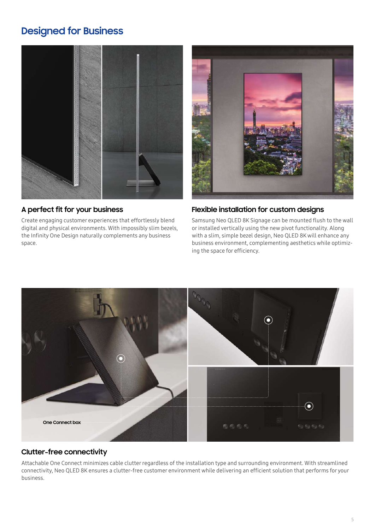### **Designed for Business**



### **A perfect it for your business f**

Create engaging customer experiences that effortlessly blend digital and physical environments. With impossibly slim bezels, the Infinity One Design naturally complements any business space.



#### **Flexible installation for custom designs**

Samsung Neo QLED 8K Signage can be mounted flush to the wall or installed vertically using the new pivot functionality. Along with a slim, simple bezel design, Neo QLED 8K will enhance any business environment, complementing aesthetics while optimizing the space for efficiency.



### **Clutter-free connectivity**

Attachable One Connect minimizes cable clutter regardless of the installation type and surrounding environment. With streamlined connectivity, Neo QLED 8K ensures a clutter-free customer environment while delivering an efficient solution that performs for your business.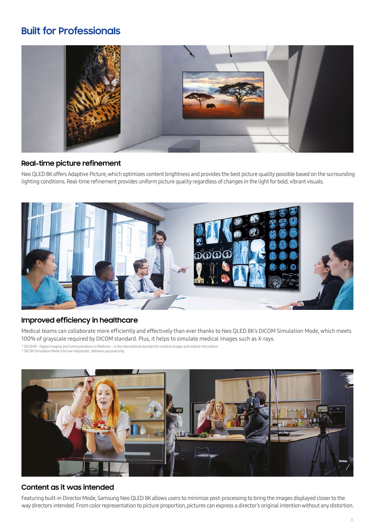### **Built for Professionals**



### **Real-time picture refinement**

Neo QLED 8K offers Adaptive Picture, which optimizes content brightness and provides the best picture quality possible based on the surrounding lighting conditions. Real-time refinement provides uniform picture quality regardless of changes in the light for bold, vibrant visuals.



### **Improved efficiency in healthcare**

Medical teams can collaborate more efficiently and effectively than ever thanks to Neo QLED 8K's DICOM Simulation Mode, which meets 100% of grayscale required by DICOM standard. Plus, it helps to simulate medical images such as X-rays.

\* DICOM® - Digital Imaging and Communications in Medicine – is the international standard for medical images and related information. \* DICOM Simulation Mode is for non-diagnostic, reference purpose only.

### **Content as it was intended**

Featuring built-in Director Mode, Samsung Neo QLED 8K allows users to minimize post-processing to bring the images displayed closer to the way directors intended. From color representation to picture proportion, pictures can express a director's original intention without any distortion.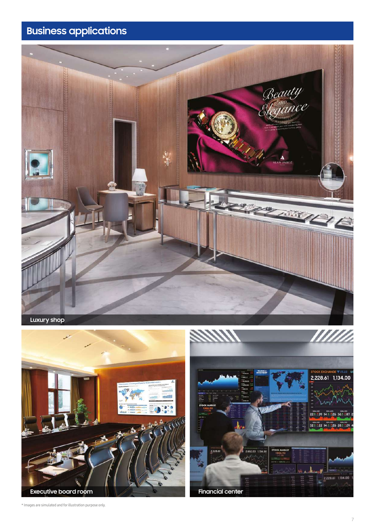# **Business applications**







\* Images are simulated and for illustration purpose only.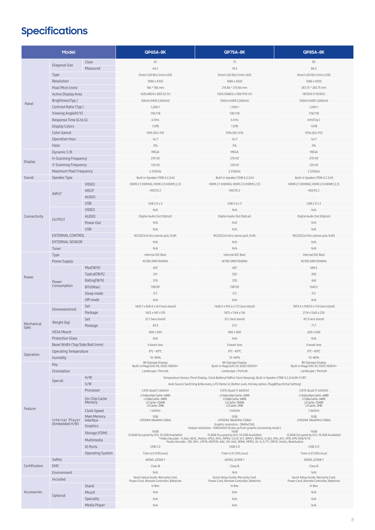# **Specifications**

| Model              |                                   |                         | <b>QP65A-8K</b>                                                                                                                                                                                                         | <b>QP75A-8K</b>                                                                                         | <b>QP85A-8K</b>                                                               |
|--------------------|-----------------------------------|-------------------------|-------------------------------------------------------------------------------------------------------------------------------------------------------------------------------------------------------------------------|---------------------------------------------------------------------------------------------------------|-------------------------------------------------------------------------------|
|                    | Class                             |                         | 65                                                                                                                                                                                                                      | 75                                                                                                      | 85                                                                            |
|                    | Diagonal Size                     | Measured                | 64.5                                                                                                                                                                                                                    | 74.5                                                                                                    | 84.5                                                                          |
|                    | Type                              |                         | Direct LED BLU (mini LED)                                                                                                                                                                                               | Direct LED BLU (mini LED)                                                                               | Direct LED BLU (mini LED)                                                     |
|                    | Resolution                        |                         | 7680 x 4320                                                                                                                                                                                                             | 7680 x 4320                                                                                             | 7680 x 4320                                                                   |
| Panel              | Pixel Pitch (mm)                  |                         | 186 * 186 mm                                                                                                                                                                                                            | 214.86 * 214.86 mm                                                                                      | 243.75 * 243.75 mm                                                            |
|                    | Active Display Area               |                         | 1428.48(H) x 803.52 (V)                                                                                                                                                                                                 | 1650.1248(H) x 928.1952 (V)                                                                             | 1872(H) X1053(V)                                                              |
|                    | Brightness(Typ.)                  |                         | 500nit (HDR 2,000nit)                                                                                                                                                                                                   | 500nit (HDR 2,000nit)                                                                                   | 500nit (HDR 2,000nit)                                                         |
|                    |                                   |                         |                                                                                                                                                                                                                         |                                                                                                         |                                                                               |
|                    | Contrast Ratio (Typ.)             |                         | 1,200:1                                                                                                                                                                                                                 | 1,200:1                                                                                                 | 1,200:1                                                                       |
|                    | Viewing Angle(H/V)                |                         | 178/178                                                                                                                                                                                                                 | 178/178                                                                                                 | 178/178                                                                       |
|                    | Response Time (G to G)            |                         | 6.5ms                                                                                                                                                                                                                   | 6.5ms                                                                                                   | 6ms(Typ.)                                                                     |
|                    | <b>Display Colors</b>             |                         | 1.07B                                                                                                                                                                                                                   | 1.07B                                                                                                   | 1.07B                                                                         |
|                    | Color Gamut                       |                         | 93% (DCI-P3)                                                                                                                                                                                                            | 93% (DCI-P3)                                                                                            | 93% (DCI-P3)                                                                  |
|                    | Operation Hour                    |                         | 16/7                                                                                                                                                                                                                    | 16/7                                                                                                    | 16/7                                                                          |
|                    | Haze                              |                         | 2%                                                                                                                                                                                                                      | 2%                                                                                                      | 2%                                                                            |
| Display            | Dynamic C/R                       |                         | MEGA                                                                                                                                                                                                                    | MEGA                                                                                                    | MEGA                                                                          |
|                    | H-Scanning Frequency              |                         | 270 HZ                                                                                                                                                                                                                  | 270 HZ                                                                                                  | 270 HZ                                                                        |
|                    | V-Scanning Frequency              |                         | 120 HZ                                                                                                                                                                                                                  | 120 HZ                                                                                                  | 120 HZ                                                                        |
|                    | Maximum Pixel Frequency           |                         | 2.376GHz                                                                                                                                                                                                                | 2.376GHz                                                                                                | 2.376GHz                                                                      |
| Sound              | Speaker Type                      |                         | Built in Speaker (70W 4.2.2ch)                                                                                                                                                                                          | Built in Speaker (70W 4.2.2ch)                                                                          | Built in Speaker (70W 4.2.2ch)                                                |
| Connectivity       | <b>INPUT</b>                      | <b>VIDEO</b>            | HDMI 2.1 (HDMI4), HDMI 2.0 (HDMI1,2,3)                                                                                                                                                                                  | HDMI 2.1 (HDMI4), HDMI 2.0 (HDMI1,2,3)                                                                  | HDMI 2.1 (HDMI4), HDMI 2.0 (HDMI1,2,3)                                        |
|                    |                                   | <b>HDCP</b>             | HDCP2.2                                                                                                                                                                                                                 | HDCP2.2                                                                                                 | HDCP2.2                                                                       |
|                    |                                   | <b>AUDIO</b>            |                                                                                                                                                                                                                         |                                                                                                         |                                                                               |
|                    |                                   | <b>USB</b>              | USB 2.0 x 3                                                                                                                                                                                                             | USB 2.0 x 3                                                                                             | USB 2.0 x 3                                                                   |
|                    | <b>OUTPUT</b>                     | <b>VIDEO</b>            |                                                                                                                                                                                                                         |                                                                                                         |                                                                               |
|                    |                                   |                         | N/A                                                                                                                                                                                                                     | N/A                                                                                                     | N/A                                                                           |
|                    |                                   | <b>AUDIO</b>            | Digital Audio Out (Optcal)                                                                                                                                                                                              | Digital Audio Out (Optcal)                                                                              | Digital Audio Out (Optcal)                                                    |
|                    |                                   | Power Out               | N/A                                                                                                                                                                                                                     | N/A                                                                                                     | N/A                                                                           |
|                    |                                   | <b>USB</b>              | N/A                                                                                                                                                                                                                     | N/A                                                                                                     | N/A                                                                           |
|                    | <b>EXTERNAL CONTROL</b>           |                         | RS232C(in) thru stereo jack, RJ45                                                                                                                                                                                       | RS232C(in) thru stereo jack, RJ45                                                                       | RS232C(in) thru stereo jack, RJ45                                             |
|                    | <b>EXTERNAL SENSOR</b>            |                         | N/A                                                                                                                                                                                                                     | N/A                                                                                                     | N/A                                                                           |
|                    | Tuner                             |                         | N/A                                                                                                                                                                                                                     | N/A                                                                                                     | N/A                                                                           |
| Power              | Type                              |                         | Internal (OC Box)                                                                                                                                                                                                       | Internal (OC Box)                                                                                       | Internal (OC Box)                                                             |
|                    | Power Supply                      |                         | AC100-240V50/60Hz                                                                                                                                                                                                       | AC100-240V 50/60Hz                                                                                      | AC100-240V 50/60Hz                                                            |
|                    | Power<br>Consumption              | Max[W/h]                | 407                                                                                                                                                                                                                     | 407                                                                                                     | 489.5                                                                         |
|                    |                                   | Typical[W/h]            | 291                                                                                                                                                                                                                     | 320                                                                                                     | 390                                                                           |
|                    |                                   | Rating[W/h]             | 370                                                                                                                                                                                                                     | 370                                                                                                     | 445                                                                           |
|                    |                                   | BTU(Max)                | 1387.87                                                                                                                                                                                                                 | 1387.87                                                                                                 | 1669.2                                                                        |
|                    |                                   | Sleep mode              | 0.5                                                                                                                                                                                                                     | 0.5                                                                                                     | 0.5                                                                           |
|                    |                                   | Off mode                | N/A                                                                                                                                                                                                                     | N/A                                                                                                     | N/A                                                                           |
| Mechanical<br>Spec | Dimension(mm)                     | Set                     | 1443.7 x 828.4 x 16.9 (w/o stand)                                                                                                                                                                                       | 1668.3 x 955.6 x 17.2 (w/o stand)                                                                       | 1893.4 x 1083.0 x 17.4 (w/o stand)                                            |
|                    |                                   | Package                 | 1625 x 947 x 195                                                                                                                                                                                                        | 1872 x 1144 x 196                                                                                       | 2114 x 1260 x 220                                                             |
|                    |                                   | Set                     | 22.7 (w/o stand)                                                                                                                                                                                                        | 32.1 (w/o stand)                                                                                        | 43.3 (w/o stand)                                                              |
|                    | Weight (kg)                       | Package                 | 43.4                                                                                                                                                                                                                    | 57.5                                                                                                    | 71.7                                                                          |
|                    | <b>VESA Mount</b>                 |                         | 400 x 300                                                                                                                                                                                                               | 400 x 400                                                                                               | 600 x 400                                                                     |
|                    | <b>Protection Glass</b>           |                         | N/A                                                                                                                                                                                                                     | N/A                                                                                                     | N/A                                                                           |
|                    | Bezel Width (Top/Side/Bot) (mm)   |                         | 4 bezel-less                                                                                                                                                                                                            | 4 bezel-less                                                                                            | 4 bezel-less                                                                  |
|                    | <b>Operating Temperature</b>      |                         | 0°C~40°C                                                                                                                                                                                                                | $0^{\circ}$ C~40°C                                                                                      | 0°C~40°C                                                                      |
| Operation          |                                   |                         | 10~80%                                                                                                                                                                                                                  | $10 - 80%$                                                                                              | $10 - 80%$                                                                    |
|                    | Humidity                          |                         | 8K Signage Display                                                                                                                                                                                                      | 8K Signage Display                                                                                      | 8K Signage Display                                                            |
| Feature            | Key<br>Orientation                |                         | Built-in MagicInfo S9, SSSP, HDR10+                                                                                                                                                                                     | Built-in MagicInfo S9, SSSP, HDR10+                                                                     | Built-in MagicInfo S9, SSSP, HDR10+                                           |
|                    |                                   |                         | Landscape / Portrait                                                                                                                                                                                                    | Landscape / Portrait                                                                                    | Landscape / Portrait                                                          |
|                    | Special                           | H/W                     | Temperature Sensor, Pivot Display, Clock Battery(168hrs Clock Keeping), Built in Speaker (70W 4.2.2ch),Wi-Fi/BT                                                                                                         |                                                                                                         |                                                                               |
|                    |                                   | S/W                     |                                                                                                                                                                                                                         | Auto Source Switching & Recovery, LFD Home UI, Button Lock, Hot key option, Plug&Play (Initial Setting) |                                                                               |
|                    | Internal Player<br>(Embedded H/W) | Processor               | CA76 Quad (1.66GHz)                                                                                                                                                                                                     | CA76 Quad (1.66GHz)                                                                                     | CA76 Quad (1.66GHz)                                                           |
|                    |                                   | On-Chip Cache           | L1 Instruction Cache: 64KB<br>L1 Data Cache: 64KB                                                                                                                                                                       | L1 Instruction Cache: 64KB<br>L1 Data Cache: 64KB                                                       | L1 Instruction Cache: 64KB<br>L1 Data Cache: 64KB                             |
|                    |                                   | Memory                  | L2 Cache: 256KB<br>L3 Cache: 2MB                                                                                                                                                                                        | L2 Cache: 256KB<br>L3 Cache: 2MB                                                                        | L2 Cache: 256KB<br>L3 Cache: 2MB                                              |
|                    |                                   | Clock Speed             | 1.66GHz                                                                                                                                                                                                                 | 1.66GHz                                                                                                 | 1.66GHz                                                                       |
|                    |                                   | Main Memory             | 5GB                                                                                                                                                                                                                     | 5GB                                                                                                     | 5GB                                                                           |
|                    |                                   | Interface               | LPDDR41866MHz128bit                                                                                                                                                                                                     | LPDDR41866MHz128bit<br>Graphic resolution: 3840x2160,                                                   | LPDDR41866MHz128bit                                                           |
|                    |                                   | Graphics                | Output resolution : 7680x4320 (Scale up from graphic processing result.)<br>16GB<br>16GB<br>16GB                                                                                                                        |                                                                                                         |                                                                               |
|                    |                                   | Storage (FDM)           | (5.8GB Occupied by O/S, 10.2GB Available)<br>(5.8GB Occupied by O/S, 10.2GB Available)<br>(5.8GB Occupied by O/S, 10.2GB Available)                                                                                     |                                                                                                         |                                                                               |
|                    |                                   | Multimedia              | *Video Decoder: H.264, HEVC, Motion JPEG, MVC, MPEG-1/2/4, VC1, WMV1, WMV2, H.263, VP6, AV1, VP8, VP9, RV8/9/10<br>*Audio Decoder : DD, DD+, LPCM, ADPCM, AAC, HE-AAC, WMA, MPEG, AC-4, G.711, OPUS, Vorbis, RealAudio6 |                                                                                                         |                                                                               |
|                    |                                   | IO Ports                | <b>USB 2.0</b>                                                                                                                                                                                                          | <b>USB 2.0</b>                                                                                          | <b>USB 2.0</b>                                                                |
|                    |                                   | <b>Operating System</b> | Tizen 6.0 (VDLinux)                                                                                                                                                                                                     | Tizen 6.0 (VDLinux)                                                                                     | Tizen 6.0 (VDLinux)                                                           |
| Certification      | Safety                            |                         | 60065, 62368-1                                                                                                                                                                                                          | 60065, 62368-1                                                                                          | 60065, 62368-1                                                                |
|                    | <b>EMC</b>                        |                         | Class B                                                                                                                                                                                                                 | Class B                                                                                                 | Class B                                                                       |
|                    | Environment                       |                         | N/A                                                                                                                                                                                                                     | N/A                                                                                                     | N/A                                                                           |
| Accessories        | Included                          |                         | Quick Setup Guide, Warranty Card,<br>Power Cord, Remote Controller, Batteries                                                                                                                                           | Quick Setup Guide, Warranty Card,<br>Power Cord, Remote Controller, Batteries                           | Quick Setup Guide, Warranty Card,<br>Power Cord, Remote Controller, Batteries |
|                    |                                   | Stand                   | In Box                                                                                                                                                                                                                  | In Box                                                                                                  | In Box                                                                        |
|                    | Optional                          | Mount                   | N/A                                                                                                                                                                                                                     | N/A                                                                                                     | N/A                                                                           |
|                    |                                   | Specialty               | N/A                                                                                                                                                                                                                     | N/A                                                                                                     | N/A                                                                           |
|                    |                                   | Media Player            | N/A                                                                                                                                                                                                                     | N/A                                                                                                     | N/A                                                                           |
|                    |                                   |                         |                                                                                                                                                                                                                         |                                                                                                         |                                                                               |